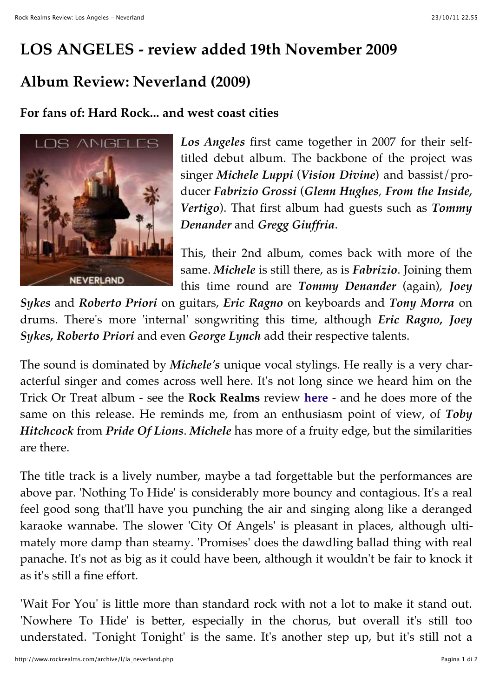## **LOS ANGELES - review added 19th November 2009**

## **Album Review: Neverland (2009)**

## **For fans of: Hard Rock... and west coast cities**



*Los Angeles* first came together in 2007 for their selftitled debut album. The backbone of the project was singer *Michele Luppi* (*Vision Divine*) and bassist/producer *Fabrizio Grossi* (*Glenn Hughes*, *From the Inside, Vertigo*). That first album had guests such as *Tommy Denander* and *Gregg Giuffria*.

This, their 2nd album, comes back with more of the same. *Michele* is still there, as is *Fabrizio*. Joining them this time round are *Tommy Denander* (again), *Joey*

*Sykes* and *Roberto Priori* on guitars, *Eric Ragno* on keyboards and *Tony Morra* on drums. There's more 'internal' songwriting this time, although *Eric Ragno, Joey Sykes, Roberto Priori* and even *George Lynch* add their respective talents.

The sound is dominated by *Michele's* unique vocal stylings. He really is a very characterful singer and comes across well here. It's not long since we heard him on the Trick Or Treat album - see the **Rock Realms** review **here** - and he does more of the same on this release. He reminds me, from an enthusiasm point of view, of *Toby Hitchcock* from *Pride Of Lions*. *Michele* has more of a fruity edge, but the similarities are there.

The title track is a lively number, maybe a tad forgettable but the performances are above par. 'Nothing To Hide' is considerably more bouncy and contagious. It's a real feel good song that'll have you punching the air and singing along like a deranged karaoke wannabe. The slower 'City Of Angels' is pleasant in places, although ultimately more damp than steamy. 'Promises' does the dawdling ballad thing with real panache. It's not as big as it could have been, although it wouldn't be fair to knock it as it's still a fine effort.

'Wait For You' is little more than standard rock with not a lot to make it stand out. 'Nowhere To Hide' is better, especially in the chorus, but overall it's still too understated. 'Tonight Tonight' is the same. It's another step up, but it's still not a